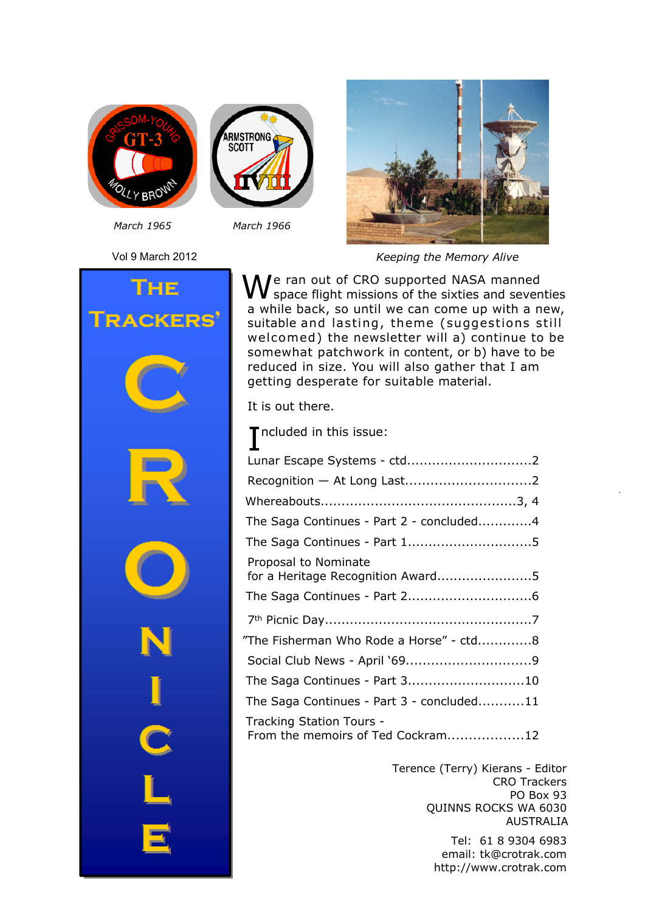



*March 1965 March 1966*



*Keeping the Memory Alive*



We ran out of CRO supported NASA manned<br>Space flight missions of the sixties and seventies a while back, so until we can come up with a new, suitable and lasting, theme (suggestions still welcomed) the newsletter will a) continue to be somewhat patchwork in content, or b) have to be reduced in size. You will also gather that I am getting desperate for suitable material.

It is out there.

| Tncluded in this issue:                                       |
|---------------------------------------------------------------|
| Lunar Escape Systems - ctd2                                   |
|                                                               |
|                                                               |
| The Saga Continues - Part 2 - concluded4                      |
| The Saga Continues - Part 15                                  |
| Proposal to Nominate<br>for a Heritage Recognition Award5     |
|                                                               |
|                                                               |
| "The Fisherman Who Rode a Horse" - ctd8                       |
|                                                               |
| The Saga Continues - Part 310                                 |
| The Saga Continues - Part 3 - concluded11                     |
| Tracking Station Tours -<br>From the memoirs of Ted Cockram12 |

Terence (Terry) Kierans - Editor CRO Trackers PO Box 93 QUINNS ROCKS WA 6030 AUSTRALIA

*Keeping the Memory Alive* 1 email: tk@crotrak.com Tel: 61 8 9304 6983 http://www.crotrak.com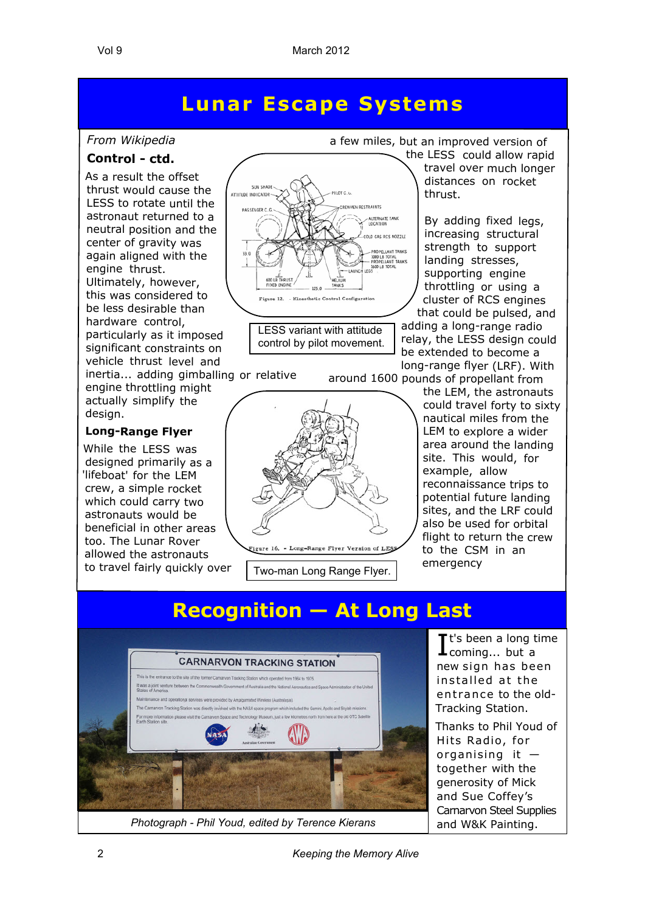#### **Lunar Escape Systems**

#### *From Wikipedia*

#### **Control - ctd.**

As a result the offset thrust would cause the LESS to rotate until the astronaut returned to a neutral position and the center of gravity was again aligned with the engine thrust. Ultimately, however, this was considered to be less desirable than hardware control, particularly as it imposed significant constraints on vehicle thrust level and

inertia... adding gimballing or relative engine throttling might actually simplify the design.

#### **Long-Range Flyer**

While the LESS was designed primarily as a 'lifeboat' for the LEM crew, a simple rocket which could carry two astronauts would be beneficial in other areas too. The Lunar Rover allowed the astronauts to travel fairly quickly over



LESS variant with attitude control by pilot movement.

- Long-Range Flyer Version of LES

Two-man Long Range Flyer.

a few miles, but an improved version of the LESS could allow rapid

travel over much longer distances on rocket thrust.

By adding fixed legs, increasing structural strength to support landing stresses, supporting engine throttling or using a cluster of RCS engines that could be pulsed, and adding a long-range radio relay, the LESS design could be extended to become a long-range flyer (LRF). With around 1600 pounds of propellant from

the LEM, the astronauts could travel forty to sixty nautical miles from the LEM to explore a wider area around the landing site. This would, for example, allow reconnaissance trips to potential future landing sites, and the LRF could also be used for orbital flight to return the crew to the CSM in an emergency

#### **Recognition — At Long Last**



*Photograph - Phil Youd, edited by Terence Kierans* and W&K Painting.

It's been a long time<br>
Looming... but a coming... but a new sign has been installed at the entrance to the old-Tracking Station.

Thanks to Phil Youd of Hits Radio, for organising it together with the generosity of Mick and Sue Coffey's Carnarvon Steel Supplies

2 *Keeping the Memory Alive*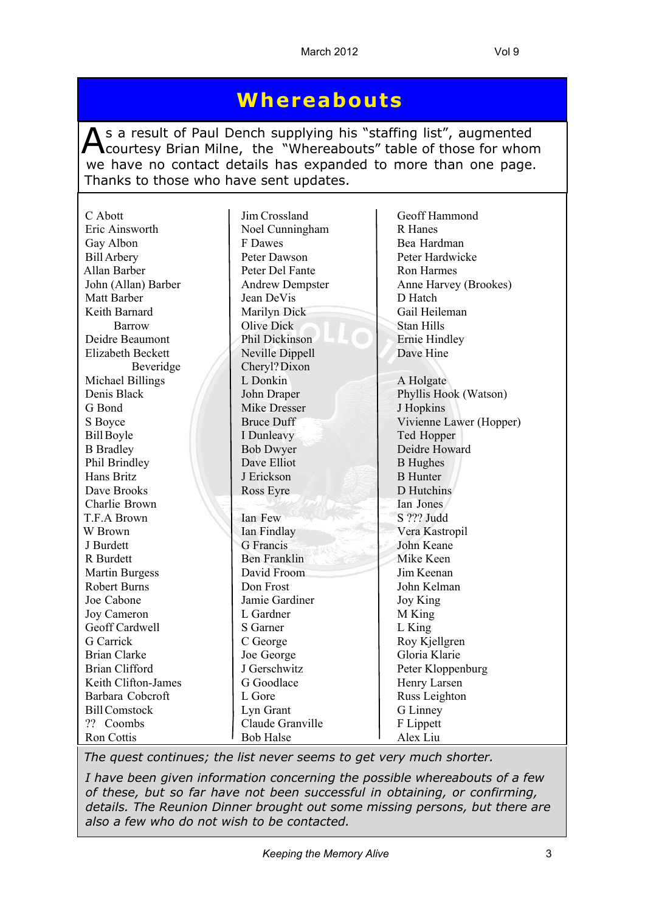#### **Whereabouts**

As a result of Paul Dench supplying his "staffing list", augmented<br>Courtesy Brian Milne, the "Whereabouts" table of those for whom s a result of Paul Dench supplying his "staffing list", augmented we have no contact details has expanded to more than one page. Thanks to those who have sent updates.

| C Abott               | Jim Crossland          | Geoff Hammond           |
|-----------------------|------------------------|-------------------------|
| Eric Ainsworth        | Noel Cunningham        | R Hanes                 |
| Gay Albon             | F Dawes                | Bea Hardman             |
| <b>Bill Arbery</b>    | Peter Dawson           | Peter Hardwicke         |
| Allan Barber          | Peter Del Fante        | Ron Harmes              |
|                       |                        |                         |
| John (Allan) Barber   | <b>Andrew Dempster</b> | Anne Harvey (Brookes)   |
| Matt Barber           | Jean DeVis             | D Hatch                 |
| Keith Barnard         | Marilyn Dick           | Gail Heileman           |
| Barrow                | <b>Olive Dick</b>      | <b>Stan Hills</b>       |
| Deidre Beaumont       | Phil Dickinson         | <b>Ernie Hindley</b>    |
| Elizabeth Beckett     | Neville Dippell        | Dave Hine               |
| Beveridge             | Cheryl? Dixon          |                         |
| Michael Billings      | L Donkin               | A Holgate               |
| Denis Black           | John Draper            | Phyllis Hook (Watson)   |
| G Bond                | <b>Mike Dresser</b>    | J Hopkins               |
| S Boyce               | <b>Bruce Duff</b>      | Vivienne Lawer (Hopper) |
| <b>Bill Boyle</b>     | I Dunleavy             | Ted Hopper              |
| <b>B</b> Bradley      | <b>Bob Dwyer</b>       | Deidre Howard           |
| Phil Brindley         | Dave Elliot            | <b>B</b> Hughes         |
| Hans Britz            | J Erickson             | <b>B</b> Hunter         |
| Dave Brooks           | Ross Eyre              | D Hutchins              |
| Charlie Brown         |                        | Ian Jones               |
| T.F.A Brown           | Ian Few                | S ??? Judd              |
| W Brown               | Ian Findlay            | Vera Kastropil          |
| J Burdett             | <b>G</b> Francis       | John Keane              |
| R Burdett             | <b>Ben Franklin</b>    | Mike Keen               |
| <b>Martin Burgess</b> | David Froom            | Jim Keenan              |
| <b>Robert Burns</b>   | Don Frost              | John Kelman             |
| Joe Cabone            | Jamie Gardiner         | Joy King                |
| Joy Cameron           | L Gardner              | M King                  |
| Geoff Cardwell        | S Garner               | L King                  |
| G Carrick             | C George               | Roy Kjellgren           |
| <b>Brian Clarke</b>   | Joe George             | Gloria Klarie           |
| <b>Brian Clifford</b> | J Gerschwitz           | Peter Kloppenburg       |
| Keith Clifton-James   | G Goodlace             | Henry Larsen            |
| Barbara Cobcroft      | L Gore                 | Russ Leighton           |
| <b>Bill Comstock</b>  | Lyn Grant              | G Linney                |
| ?? Coombs             | Claude Granville       | F Lippett               |
| Ron Cottis            | <b>Bob Halse</b>       | Alex Liu                |

*The quest continues; the list never seems to get very much shorter.*

*I have been given information concerning the possible whereabouts of a few of these, but so far have not been successful in obtaining, or confirming, details. The Reunion Dinner brought out some missing persons, but there are also a few who do not wish to be contacted.*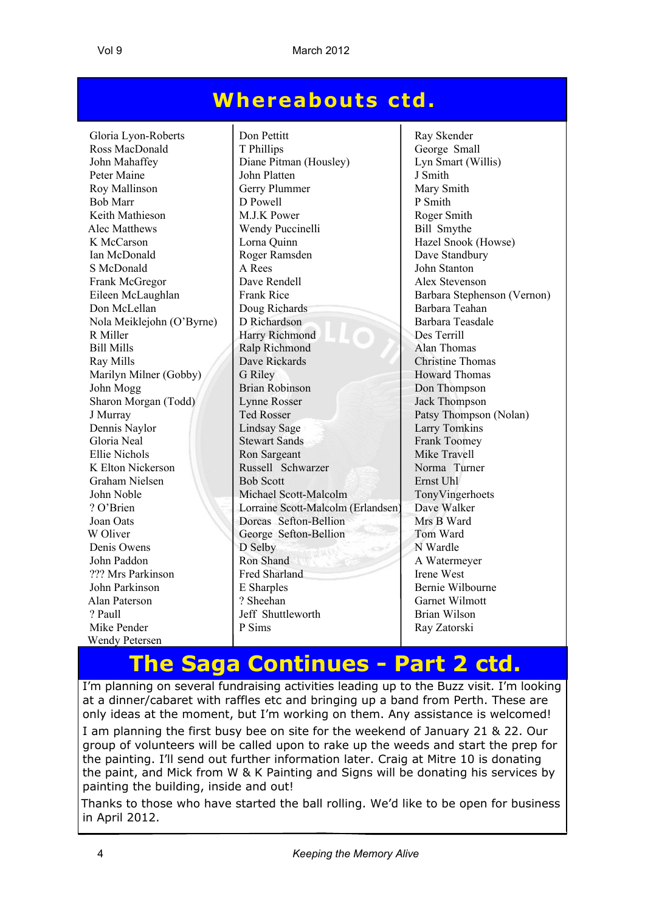#### **Whereabouts ctd .**

S McDonald Don McLellan Doug Richards Marilyn Milner (Gobby)<br>John Mogg Joan Oats Dorcas Sefton-Bellion Wendy Petersen

Gloria Lyon-Roberts Don Pettitt Ray Skender Ross MacDonald T Phillips<br>
John Mahaffev Diane Pitman (Houslev) Lyn Smart (Willis) Diane Pitman (Housley) Peter Maine John Platten J Smith Roy Mallinson Gerry Plummer Mary Smith<br>
Rob Marr D Powell D Powell P Smith<br>
P Smith Bob Marr  $\vert$  D Powell  $\vert$  P Smith Keith Mathieson M.J.K Power Roger Smith Alec Matthews Wendy Puccinelli Bill Smythe K McCarson  $\vert$  Lorna Quinn  $\vert$  Hazel Snook (Howse) Ian McDonald Roger Ramsden Dave Standbury<br>S McDonald A Rees John Stanton Frank McGregor **Dave Rendell** Alex Stevenson Eileen McLaughlan Frank Rice Barbara Stephenson (Vernon)<br>
Doug Richards Barbara Teahan<br>
Barbara Teahan Nola Meiklejohn (O'Byrne) D Richardson Barbara Teasdale R Miller Harry Richmond Des Terrill Bill Mills Ralp Richmond Alan Thomas Ray Mills<br>Marilyn Milner (Gobby) Dave Rickards<br>Grand Grand Homas<br>Howard Thomas Brian Robinson Don Thompson Sharon Morgan (Todd) Lynne Rosser Jack Thompson J Murray Ted Rosser **Patsy Thompson (Nolan)** Dennis Naylor | Lindsay Sage | Larry Tomkins Gloria Neal Stewart Sands Frank Toomey Ellie Nichols<br>
K Elton Nickerson<br>
Ron Sargeant Russell Schwarzer<br>
Russell Schwarzer<br>
Russell Schwarzer<br>
Norma Turner K Elton Nickerson Russell Schwarzer Norma T<br>Graham Nielsen Bob Scott Ernst Uhl Graham Nielsen Bob Scott<br>
John Noble<br>
Michael Scott-Malcolm TonyVingerhoets Michael Scott-Malcolm ? O'Brien Lorraine Scott-Malcolm (Erlandsen) Dave Walker<br>
Lorraine Scott-Malcolm (Erlandsen) Dave Walker<br>
Dorcas Sefton-Bellion Mrs B Ward W Oliver George Sefton-Bellion Tom Ward Denis Owens D Selby N Wardle John Paddon Ron Shand A Watermeyer ??? Mrs Parkinson Fred Sharland Irene West<br>
Irene West<br>
E Sharples Bernie Will John Parkinson E Sharples Bernie Wilbourne<br>
Alan Paterson 2 Sheehan Garnet Wilmott ? Paull Jeff Shuttleworth Fian Wilson<br>
P Sims<br>
Brian Wilson<br>
Ray Zatorski

Garnet Wilmott Ray Zatorski

### **The Saga Continues - Part 2 ctd.**

I'm planning on several fundraising activities leading up to the Buzz visit. I'm looking at a dinner/cabaret with raffles etc and bringing up a band from Perth. These are only ideas at the moment, but I'm working on them. Any assistance is welcomed!

I am planning the first busy bee on site for the weekend of January 21 & 22. Our group of volunteers will be called upon to rake up the weeds and start the prep for the painting. I'll send out further information later. Craig at Mitre 10 is donating the paint, and Mick from W & K Painting and Signs will be donating his services by painting the building, inside and out!

Thanks to those who have started the ball rolling. We'd like to be open for business in April 2012.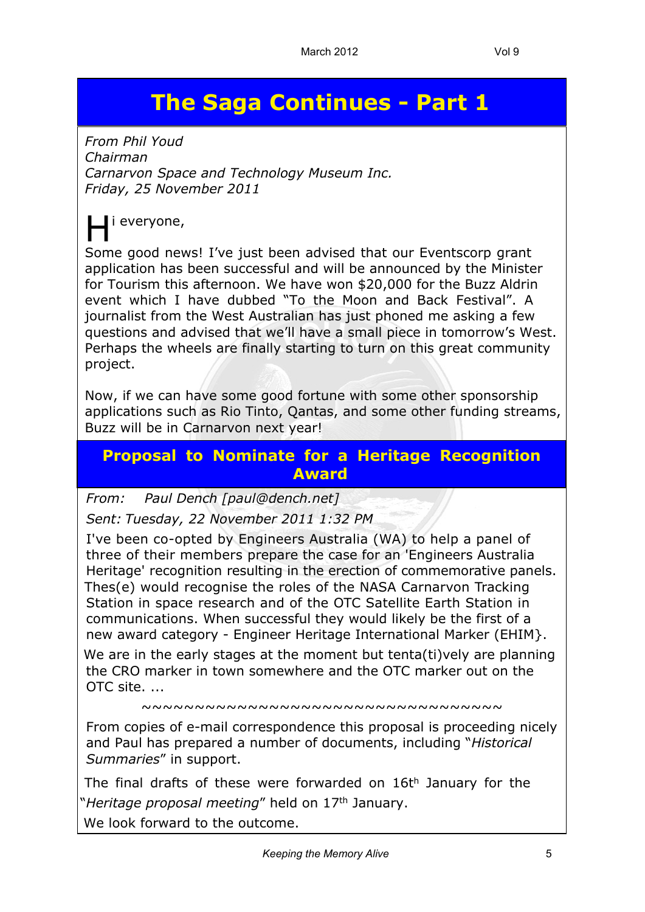## **The Saga Continues - Part 1**

*From Phil Youd Chairman Carnarvon Space and Technology Museum Inc. Friday, 25 November 2011*

## H i everyone,

Some good news! I've just been advised that our Eventscorp grant application has been successful and will be announced by the Minister for Tourism this afternoon. We have won \$20,000 for the Buzz Aldrin event which I have dubbed "To the Moon and Back Festival". A journalist from the West Australian has just phoned me asking a few questions and advised that we'll have a small piece in tomorrow's West. Perhaps the wheels are finally starting to turn on this great community project.

Now, if we can have some good fortune with some other sponsorship applications such as Rio Tinto, Qantas, and some other funding streams, Buzz will be in Carnarvon next year!

#### **Proposal to Nominate for a Heritage Recognition Award**

*From: Paul Dench [paul@dench.net] Sent: Tuesday, 22 November 2011 1:32 PM*

I've been co-opted by Engineers Australia (WA) to help a panel of three of their members prepare the case for an 'Engineers Australia Heritage' recognition resulting in the erection of commemorative panels. Thes(e) would recognise the roles of the NASA Carnarvon Tracking Station in space research and of the OTC Satellite Earth Station in communications. When successful they would likely be the first of a new award category - Engineer Heritage International Marker (EHIM}.

We are in the early stages at the moment but tenta(ti)vely are planning the CRO marker in town somewhere and the OTC marker out on the OTC site. ...

~~~~~~~~~~~~~~~~~~~~~~~~~~~~~~~~~~

From copies of e-mail correspondence this proposal is proceeding nicely and Paul has prepared a number of documents, including "*Historical Summaries*" in support.

The final drafts of these were forwarded on 16t<sup>h</sup> January for the "*Heritage proposal meeting*" held on 17th January.

We look forward to the outcome.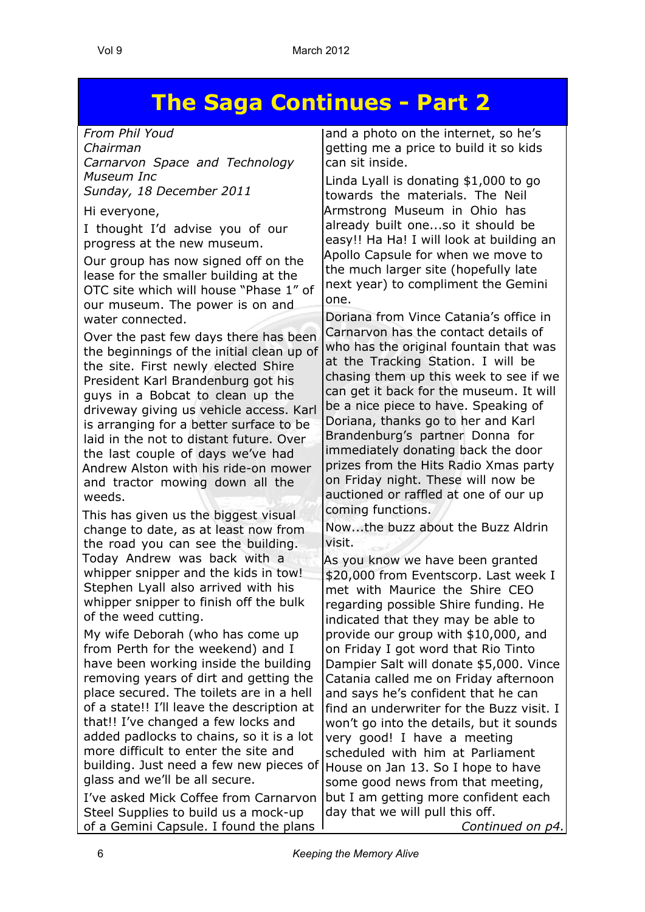## **The Saga Continues - Part 2**

*From Phil Youd Chairman Carnarvon Space and Technology Museum Inc*

*Sunday, 18 December 2011*

Hi everyone,

I thought I'd advise you of our progress at the new museum.

Our group has now signed off on the lease for the smaller building at the OTC site which will house "Phase 1" of our museum. The power is on and water connected.

Over the past few days there has been the beginnings of the initial clean up of the site. First newly elected Shire President Karl Brandenburg got his guys in a Bobcat to clean up the driveway giving us vehicle access. Karl is arranging for a better surface to be laid in the not to distant future. Over the last couple of days we've had Andrew Alston with his ride-on mower and tractor mowing down all the weeds.

This has given us the biggest visual change to date, as at least now from the road you can see the building. Today Andrew was back with a whipper snipper and the kids in tow! Stephen Lyall also arrived with his whipper snipper to finish off the bulk of the weed cutting.

My wife Deborah (who has come up from Perth for the weekend) and I have been working inside the building removing years of dirt and getting the place secured. The toilets are in a hell of a state!! I'll leave the description at that!! I've changed a few locks and added padlocks to chains, so it is a lot more difficult to enter the site and building. Just need a few new pieces of glass and we'll be all secure.

I've asked Mick Coffee from Carnarvon Steel Supplies to build us a mock-up of a Gemini Capsule. I found the plans

and a photo on the internet, so he's getting me a price to build it so kids can sit inside.

Linda Lyall is donating \$1,000 to go towards the materials. The Neil Armstrong Museum in Ohio has already built one...so it should be easy!! Ha Ha! I will look at building an Apollo Capsule for when we move to the much larger site (hopefully late next year) to compliment the Gemini one.

Doriana from Vince Catania's office in Carnarvon has the contact details of who has the original fountain that was at the Tracking Station. I will be chasing them up this week to see if we can get it back for the museum. It will be a nice piece to have. Speaking of Doriana, thanks go to her and Karl Brandenburg's partner Donna for immediately donating back the door prizes from the Hits Radio Xmas party on Friday night. These will now be auctioned or raffled at one of our up coming functions.

Now...the buzz about the Buzz Aldrin visit.

As you know we have been granted \$20,000 from Eventscorp. Last week I met with Maurice the Shire CEO regarding possible Shire funding. He indicated that they may be able to provide our group with \$10,000, and on Friday I got word that Rio Tinto Dampier Salt will donate \$5,000. Vince Catania called me on Friday afternoon and says he's confident that he can find an underwriter for the Buzz visit. I won't go into the details, but it sounds very good! I have a meeting scheduled with him at Parliament House on Jan 13. So I hope to have some good news from that meeting, but I am getting more confident each day that we will pull this off.

*Continued on p4.*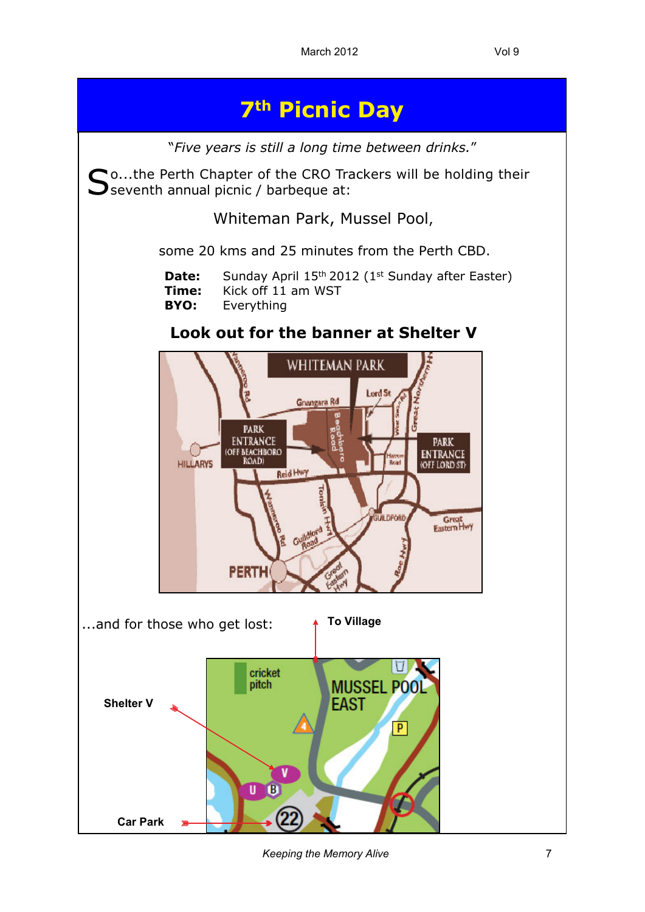

*Keeping the Memory Alive* 7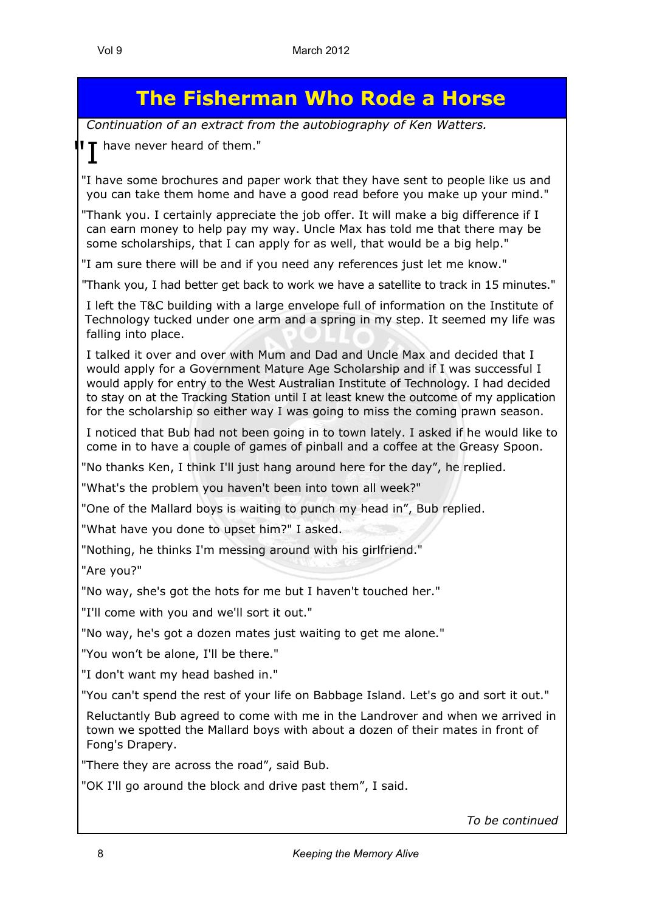#### **The Fisherman Who Rode a Horse**

*Continuation of an extract from the autobiography of Ken Watters.*

" have never heard of them."

"I have some brochures and paper work that they have sent to people like us and you can take them home and have a good read before you make up your mind."

"Thank you. I certainly appreciate the job offer. It will make a big difference if I can earn money to help pay my way. Uncle Max has told me that there may be some scholarships, that I can apply for as well, that would be a big help."

"I am sure there will be and if you need any references just let me know."

"Thank you, I had better get back to work we have a satellite to track in 15 minutes."

I left the T&C building with a large envelope full of information on the Institute of Technology tucked under one arm and a spring in my step. It seemed my life was falling into place.

I talked it over and over with Mum and Dad and Uncle Max and decided that I would apply for a Government Mature Age Scholarship and if I was successful I would apply for entry to the West Australian Institute of Technology. I had decided to stay on at the Tracking Station until I at least knew the outcome of my application for the scholarship so either way I was going to miss the coming prawn season.

I noticed that Bub had not been going in to town lately. I asked if he would like to come in to have a couple of games of pinball and a coffee at the Greasy Spoon.

"No thanks Ken, I think I'll just hang around here for the day", he replied.

"What's the problem you haven't been into town all week?"

"One of the Mallard boys is waiting to punch my head in", Bub replied.

"What have you done to upset him?" I asked.

"Nothing, he thinks I'm messing around with his girlfriend."

"Are you?"

"No way, she's got the hots for me but I haven't touched her."

"I'll come with you and we'll sort it out."

"No way, he's got a dozen mates just waiting to get me alone."

"You won't be alone, I'll be there."

"I don't want my head bashed in."

"You can't spend the rest of your life on Babbage Island. Let's go and sort it out."

Reluctantly Bub agreed to come with me in the Landrover and when we arrived in town we spotted the Mallard boys with about a dozen of their mates in front of Fong's Drapery.

"There they are across the road", said Bub.

"OK I'll go around the block and drive past them", I said.

*To be continued*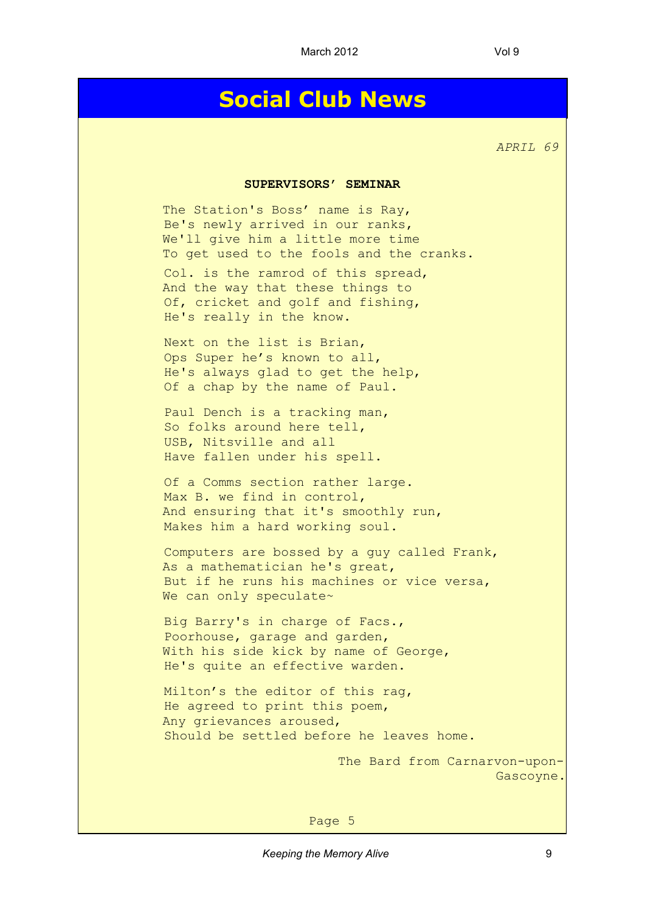### **Social Club News**

*APRIL 69*

#### **SUPERVISORS' SEMINAR**

The Station's Boss' name is Ray, Be's newly arrived in our ranks, We'll give him a little more time To get used to the fools and the cranks.

Col. is the ramrod of this spread, And the way that these things to Of, cricket and golf and fishing, He's really in the know.

Next on the list is Brian, Ops Super he's known to all, He's always glad to get the help, Of a chap by the name of Paul.

Paul Dench is a tracking man, So folks around here tell, USB, Nitsville and all Have fallen under his spell.

Of a Comms section rather large. Max B. we find in control, And ensuring that it's smoothly run, Makes him a hard working soul.

Computers are bossed by a guy called Frank, As a mathematician he's great, But if he runs his machines or vice versa, We can only speculate~

Big Barry's in charge of Facs., Poorhouse, garage and garden, With his side kick by name of George, He's quite an effective warden.

Milton's the editor of this rag, He agreed to print this poem, Any grievances aroused, Should be settled before he leaves home.

> The Bard from Carnarvon-upon-Gascoyne.

Page 5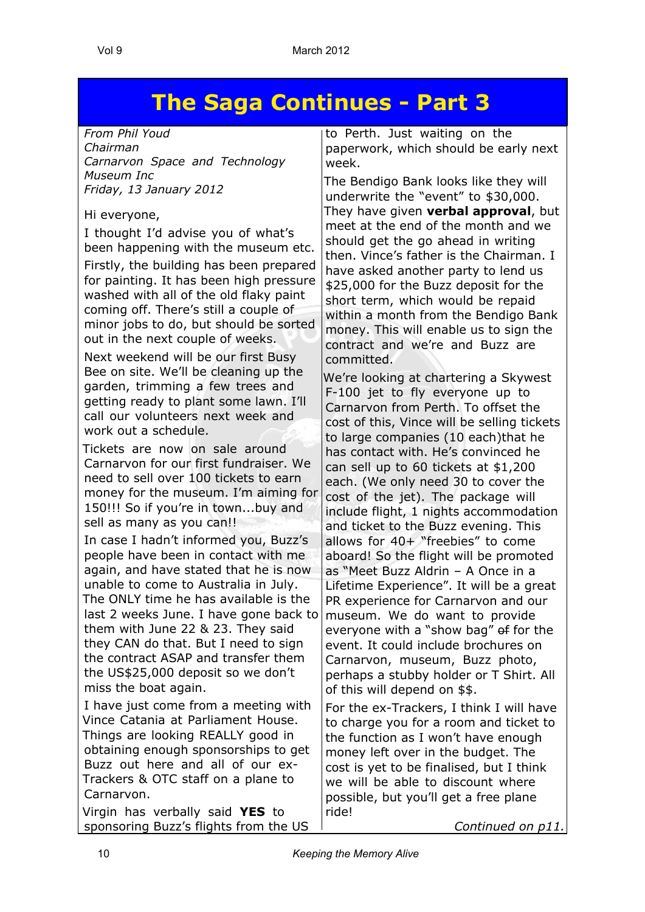## **The Saga Continues - Part 3**

*From Phil Youd Chairman Carnarvon Space and Technology Museum Inc Friday, 13 January 2012*

#### Hi everyone,

I thought I'd advise you of what's been happening with the museum etc.

Firstly, the building has been prepared for painting. It has been high pressure washed with all of the old flaky paint coming off. There's still a couple of minor jobs to do, but should be sorted out in the next couple of weeks.

Next weekend will be our first Busy Bee on site. We'll be cleaning up the garden, trimming a few trees and getting ready to plant some lawn. I'll call our volunteers next week and work out a schedule.

Tickets are now on sale around Carnarvon for our first fundraiser. We need to sell over 100 tickets to earn money for the museum. I'm aiming for 150!!! So if you're in town...buy and sell as many as you can!!

In case I hadn't informed you, Buzz's people have been in contact with me again, and have stated that he is now unable to come to Australia in July. The ONLY time he has available is the last 2 weeks June. I have gone back to them with June 22 & 23. They said they CAN do that. But I need to sign the contract ASAP and transfer them the US\$25,000 deposit so we don't miss the boat again.

I have just come from a meeting with Vince Catania at Parliament House. Things are looking REALLY good in obtaining enough sponsorships to get Buzz out here and all of our ex-Trackers & OTC staff on a plane to Carnarvon.

Virgin has verbally said **YES** to sponsoring Buzz's flights from the US to Perth. Just waiting on the paperwork, which should be early next week.

The Bendigo Bank looks like they will underwrite the "event" to \$30,000. They have given **verbal approval**, but meet at the end of the month and we should get the go ahead in writing then. Vince's father is the Chairman. I have asked another party to lend us \$25,000 for the Buzz deposit for the short term, which would be repaid within a month from the Bendigo Bank money. This will enable us to sign the contract and we're and Buzz are committed.

We're looking at chartering a Skywest F-100 jet to fly everyone up to Carnarvon from Perth. To offset the cost of this, Vince will be selling tickets to large companies (10 each)that he has contact with. He's convinced he can sell up to 60 tickets at \$1,200 each. (We only need 30 to cover the cost of the jet). The package will include flight, 1 nights accommodation and ticket to the Buzz evening. This allows for 40+ "freebies" to come aboard! So the flight will be promoted as "Meet Buzz Aldrin – A Once in a Lifetime Experience". It will be a great PR experience for Carnarvon and our museum. We do want to provide everyone with a "show bag" of for the event. It could include brochures on Carnarvon, museum, Buzz photo, perhaps a stubby holder or T Shirt. All of this will depend on \$\$.

For the ex-Trackers, I think I will have to charge you for a room and ticket to the function as I won't have enough money left over in the budget. The cost is yet to be finalised, but I think we will be able to discount where possible, but you'll get a free plane ride!

*Continued on p11.*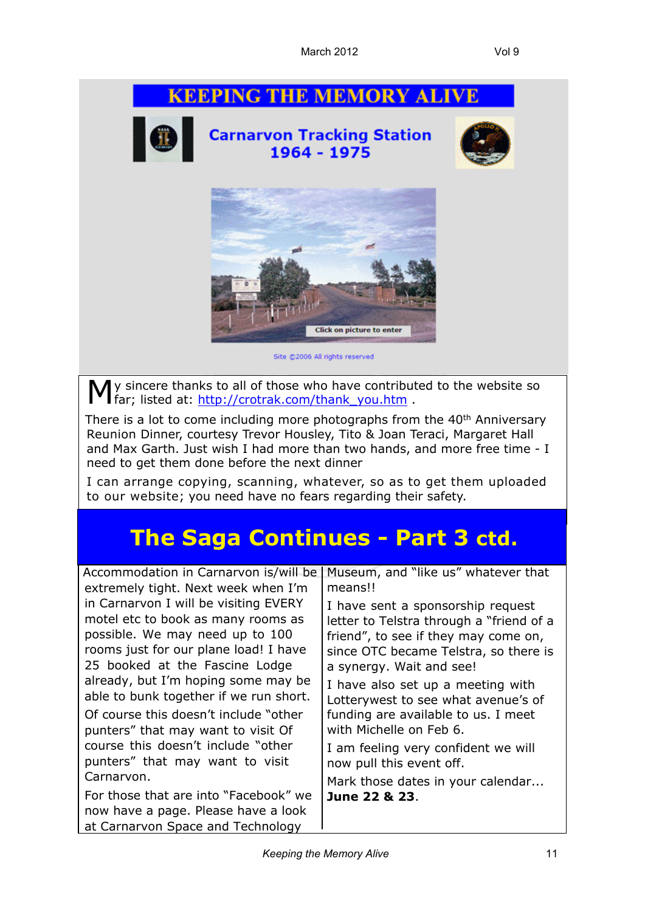## **KEEPING THE MEMORY ALIVE Carnarvon Tracking Station** 1964 - 1975 **Click on picture to enter** Site @2006 All rights reserved

My sincere thanks to all of those who have contributed to the website so far; listed at: http://crotrak.com/thank you.htm . far; listed at: [http://crotrak.com/thank\\_you.htm](http://crotrak.com/thank_you.htm) .

There is a lot to come including more photographs from the 40<sup>th</sup> Anniversary Reunion Dinner, courtesy Trevor Housley, Tito & Joan Teraci, Margaret Hall and Max Garth. Just wish I had more than two hands, and more free time - I need to get them done before the next dinner

I can arrange copying, scanning, whatever, so as to get them uploaded to our website; you need have no fears regarding their safety.

## **The Saga Continues - Part 3 ctd.**

| Accommodation in Carnarvon is/will be                                                                                                                                                                                                                                      | Museum, and "like us" whatever that                                                                                                                                                                                                                                    |
|----------------------------------------------------------------------------------------------------------------------------------------------------------------------------------------------------------------------------------------------------------------------------|------------------------------------------------------------------------------------------------------------------------------------------------------------------------------------------------------------------------------------------------------------------------|
| extremely tight. Next week when I'm                                                                                                                                                                                                                                        | means!!                                                                                                                                                                                                                                                                |
| in Carnarvon I will be visiting EVERY<br>motel etc to book as many rooms as<br>possible. We may need up to 100<br>rooms just for our plane load! I have<br>25 booked at the Fascine Lodge<br>already, but I'm hoping some may be<br>able to bunk together if we run short. | I have sent a sponsorship request<br>letter to Telstra through a "friend of a<br>friend", to see if they may come on,<br>since OTC became Telstra, so there is<br>a synergy. Wait and see!<br>I have also set up a meeting with<br>Lotterywest to see what avenue's of |
| Of course this doesn't include "other<br>punters" that may want to visit Of                                                                                                                                                                                                | funding are available to us. I meet<br>with Michelle on Feb 6.                                                                                                                                                                                                         |
| course this doesn't include "other<br>punters" that may want to visit                                                                                                                                                                                                      | I am feeling very confident we will<br>now pull this event off.                                                                                                                                                                                                        |
| Carnarvon.                                                                                                                                                                                                                                                                 | Mark those dates in your calendar                                                                                                                                                                                                                                      |
| For those that are into "Facebook" we<br>now have a page. Please have a look<br>at Carnarvon Space and Technology                                                                                                                                                          | June 22 & 23.                                                                                                                                                                                                                                                          |